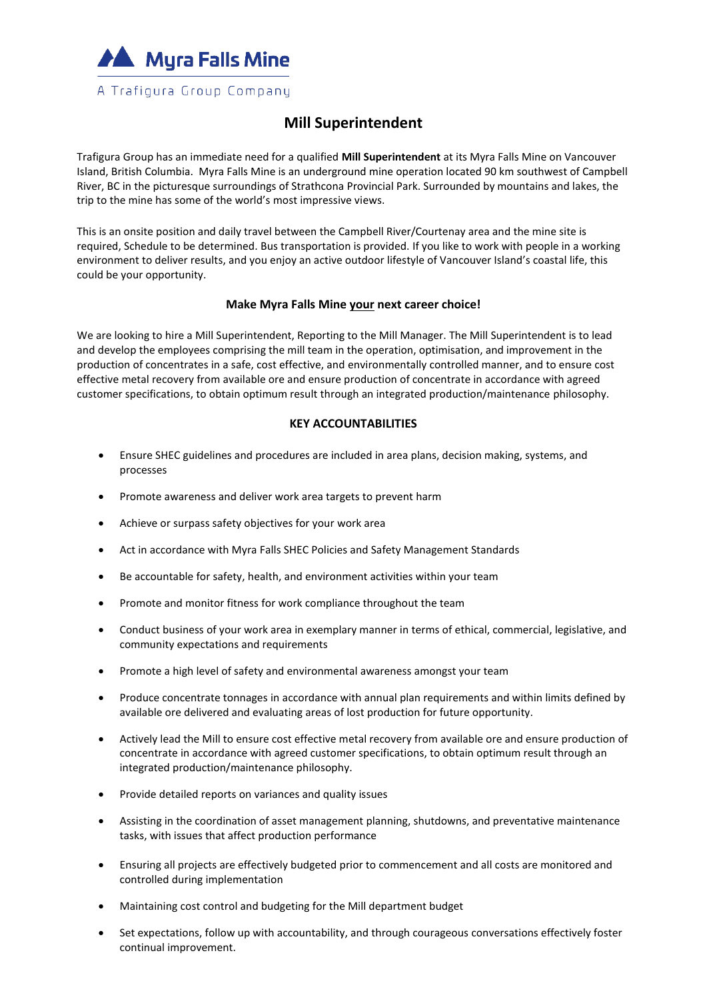

## **Mill Superintendent**

Trafigura Group has an immediate need for a qualified **Mill Superintendent** at its Myra Falls Mine on Vancouver Island, British Columbia. Myra Falls Mine is an underground mine operation located 90 km southwest of Campbell River, BC in the picturesque surroundings of Strathcona Provincial Park. Surrounded by mountains and lakes, the trip to the mine has some of the world's most impressive views.

This is an onsite position and daily travel between the Campbell River/Courtenay area and the mine site is required, Schedule to be determined. Bus transportation is provided. If you like to work with people in a working environment to deliver results, and you enjoy an active outdoor lifestyle of Vancouver Island's coastal life, this could be your opportunity.

## **Make Myra Falls Mine your next career choice!**

We are looking to hire a Mill Superintendent, Reporting to the Mill Manager. The Mill Superintendent is to lead and develop the employees comprising the mill team in the operation, optimisation, and improvement in the production of concentrates in a safe, cost effective, and environmentally controlled manner, and to ensure cost effective metal recovery from available ore and ensure production of concentrate in accordance with agreed customer specifications, to obtain optimum result through an integrated production/maintenance philosophy.

## **KEY ACCOUNTABILITIES**

- Ensure SHEC guidelines and procedures are included in area plans, decision making, systems, and processes
- Promote awareness and deliver work area targets to prevent harm
- Achieve or surpass safety objectives for your work area
- Act in accordance with Myra Falls SHEC Policies and Safety Management Standards
- Be accountable for safety, health, and environment activities within your team
- Promote and monitor fitness for work compliance throughout the team
- Conduct business of your work area in exemplary manner in terms of ethical, commercial, legislative, and community expectations and requirements
- Promote a high level of safety and environmental awareness amongst your team
- Produce concentrate tonnages in accordance with annual plan requirements and within limits defined by available ore delivered and evaluating areas of lost production for future opportunity.
- Actively lead the Mill to ensure cost effective metal recovery from available ore and ensure production of concentrate in accordance with agreed customer specifications, to obtain optimum result through an integrated production/maintenance philosophy.
- Provide detailed reports on variances and quality issues
- Assisting in the coordination of asset management planning, shutdowns, and preventative maintenance tasks, with issues that affect production performance
- Ensuring all projects are effectively budgeted prior to commencement and all costs are monitored and controlled during implementation
- Maintaining cost control and budgeting for the Mill department budget
- Set expectations, follow up with accountability, and through courageous conversations effectively foster continual improvement.